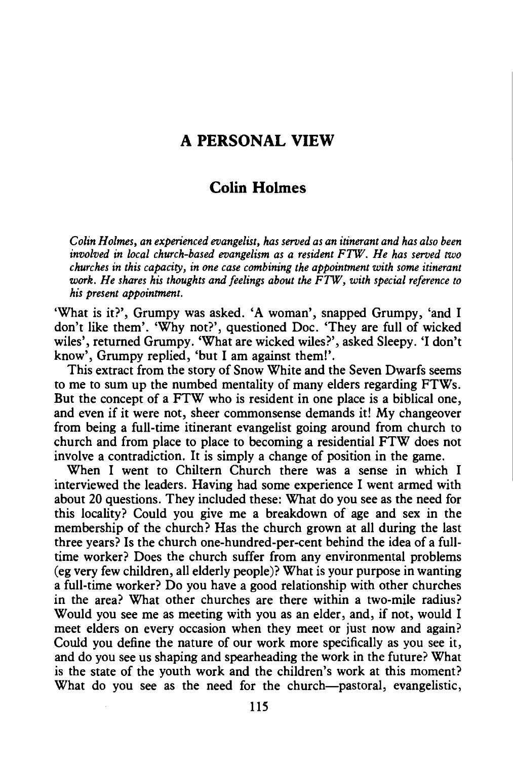## **A PERSONAL VIEW**

## **Colin Holmes**

*Colin Holmes, an experienced evangelist, has served as an itinerant and has also been involved in local church-based evangelism as a resident FTW. He has served two churches in this capacity, in one case combining the appointment with some itinerant work. He shares his thoughts and feelings about the FTW, with special reference to his present appointment.* 

'What is it?', Grumpy was asked. 'A woman', snapped Grumpy, 'and I don't like them'. 'Why not?', questioned Doe. 'They are full of wicked wiles', returned Grumpy. 'What are wicked wiles?', asked Sleepy. 'I don't know', Grumpy replied, 'but I am against them!'.

This extract from the story of Snow White and the Seven Dwarfs seems to me to sum up the numbed mentality of many elders regarding FTWs. But the concept of a FTW who is resident in one place is a biblical one, and even if it were not, sheer commonsense demands it! My changeover from being a full-time itinerant evangelist going around from church to church and from place to place to becoming a residential FTW does not involve a contradiction. It is simply a change of position in the game.

When I went to Chiltern Church there was a sense in which I interviewed the leaders. Having had some experience I went armed with about 20 questions. They included these: What do you see as the need for this locality? Could you give me a breakdown of age and sex in the membership of the church? Has the church grown at all during the last three years? Is the church one-hundred-per-cent behind the idea of a fulltime worker? Does the church suffer from any environmental problems (eg very few children, all elderly people)? What is your purpose in wanting a full-time worker? Do you have a good relationship with other churches in the area? What other churches are there within a two-mile radius? Would you see me as meeting with you as an elder, and, if not, would I meet elders on every occasion when they meet or just now and again? Could you define the nature of our work more specifically as you see it, and do you see us shaping and spearheading the work in the future? What is the state of the youth work and the children's work at this moment? What do you see as the need for the church-pastoral, evangelistic,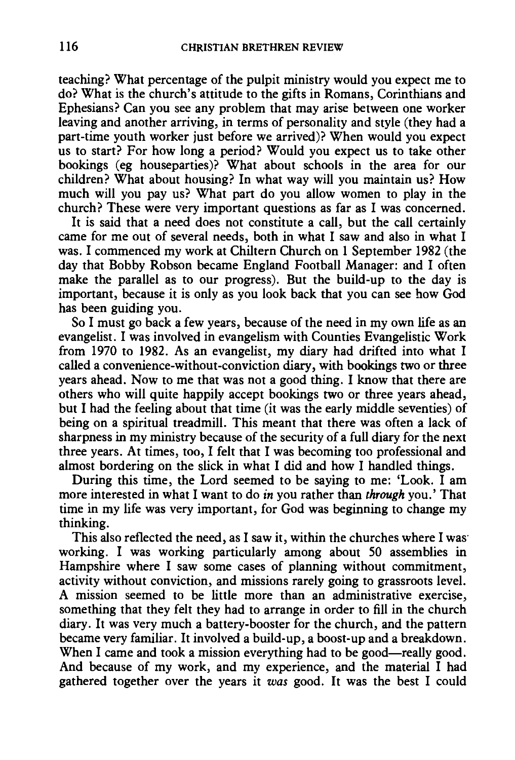teaching? What percentage of the pulpit ministry would you expect me to do? What is the church's attitude to the gifts in Romans, Corinthians and Ephesians? Can you see any problem that may arise between one worker leaving and another arriving, in terms of personality and style (they had a part-time youth worker just before we arrived)? When would you expect us to start? For how long a period? Would you expect us to take other bookings (eg houseparties)? What about schools in the area for our children? What about housing? In what way will you maintain us? How much will you pay us? What part do you allow women to play in the church? These were very important questions as far as I was concerned.

It is said that a need does not constitute a call, but the call certainly came for me out of several needs, both in what I saw and also in what I was. I commenced my work at Chiltern Church on 1 September 1982 (the day that Bobby Robson became England Football Manager: and I often make the parallel as to our progress). But the build-up to the day is important, because it is only as you look back that you can see how God has been guiding you.

So I must go back a few years, because of the need in my own life as an evangelist. I was involved in evangelism with Counties Evangelistic Work from 1970 to 1982. As an evangelist, my diary had drifted into what I called a convenience-without-conviction diary, with bookings two or three years ahead. Now to me that was not a good thing. I know that there are others who will quite happily accept bookings two or three years ahead, but I had the feeling about that time (it was the early middle seventies) of being on a spiritual treadmill. This meant that there was often a lack of sharpness in my ministry because of the security of a full diary for the next three years. At times, too, I felt that I was becoming too professional and almost bordering on the slick in what I did and how I handled things.

During this time, the Lord seemed to be saying to me: 'Look. I am more interested in what I want to do *in* you rather than *through* you.' That time in my life was very important, for God was beginning to change my thinking.

This also reflected the need, as I saw it, within the churches where I was· working. I was working particularly among about SO assemblies in Hampshire where I saw some cases of planning without commitment, activity without conviction, and missions rarely going to grassroots level. A mission seemed to be little more than an administrative exercise, something that they felt they had to arrange in order to fill in the church diary. It was very much a battery-booster for the church, and the pattern became very familiar. It involved a build-up, a boost-up and a breakdown. When I came and took a mission everything had to be good-really good. And because of my work, and my experience, and the material I had gathered together over the years it *was* good. It was the best I could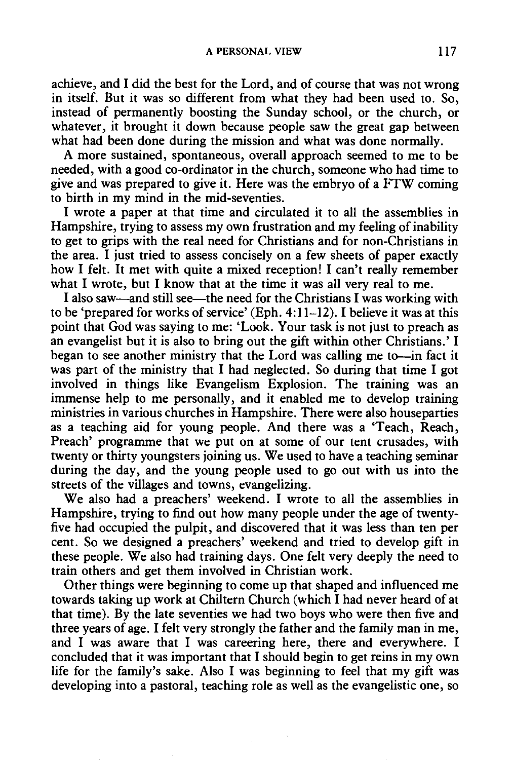achieve, and I did the best for the Lord, and of course that was not wrong in itself. But it was so different from what they had been used to. So, instead of permanently boosting the Sunday school, or the church, or whatever, it brought it down because people saw the great gap between what had been done during the mission and what was done normally.

A more sustained, spontaneous, overall approach seemed to me to be needed, with a good co-ordinator in the church, someone who had time to give and was prepared to give it. Here was the embryo of a FTW coming to birth in my mind in the mid-seventies.

I wrote a paper at that time and circulated it to all the assemblies in Hampshire, trying to assess my own frustration and my feeling of inability to get to grips with the real need for Christians and for non-Christians in the area. I just tried to assess concisely on a few sheets of paper exactly how I felt. It met with quite a mixed reception! I can't really remember what I wrote, but I know that at the time it was all very real to me.

I also saw—and still see—the need for the Christians I was working with to be 'prepared for works of service' (Eph. 4: 11-12). I believe it was at this point that God was saying to me: 'Look. Your task is not just to preach as an evangelist but it is also to bring out the gift within other Christians.' I began to see another ministry that the Lord was calling me to-in fact it was part of the ministry that I had neglected. So during that time I got involved in things like Evangelism Explosion. The training was an immense help to me personally, and it enabled me to develop training ministries in various churches in Hampshire. There were also houseparties as a teaching aid for young people. And there was a 'Teach, Reach, Preach' programme that we put on at some of our tent crusades, with twenty or thirty youngsters joining us. We used to have a teaching seminar during the day, and the young people used to go out with us into the streets of the villages and towns, evangelizing.

We also had a preachers' weekend. I wrote to all the assemblies in Hampshire, trying to find out how many people under the age of twentyfive had occupied the pulpit, and discovered that it was less than ten per cent. So we designed a preachers' weekend and tried to develop gift in these people. We also had training days. One felt very deeply the need to train others and get them involved in Christian work.

Other things were beginning to come up that shaped and influenced me towards taking up work at Chiltern Church (which I had never heard of at that time). By the late seventies we had two boys who were then five and three years of age. I felt very strongly the father and the family man in me, and I was aware that I was careering here, there and everywhere. I concluded that it was important that I should begin to get reins in my own life for the family's sake. Also I was beginning to feel that my gift was developing into a pastoral, teaching role as well as the evangelistic one, so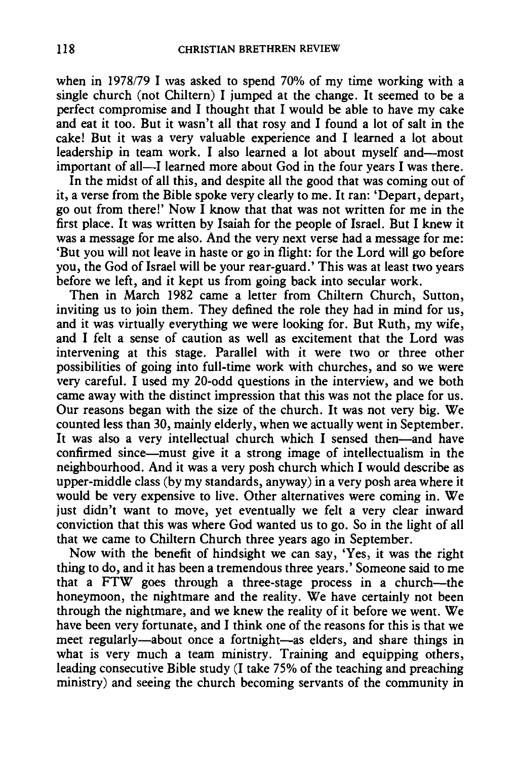when in 1978/79 I was asked to spend 70% of my time working with a single church (not Chiltern) I jumped at the change. It seemed to be a perfect compromise and I thought that I would be able to have my cake and eat it too. But it wasn't all that rosy and I found a lot of salt in the cake! But it was a very valuable experience and I learned a lot about leadership in team work. I also learned a lot about myself and-most important of all—I learned more about God in the four years I was there.

In the midst of all this, and despite all the good that was coming out of it, a verse from the Bible spoke very clearly to me. It ran: 'Depart, depart, go out from there!' Now I know that that was not written for me in the first place. It was written by Isaiah for the people of Israel. But I knew it was a message for me also. And the very next verse had a message for me: 'But you will not leave in haste or go in flight: for the Lord will go before you, the God of Israel will be your rear-guard.' This was at least two years before we left, and it kept us from going back into secular work.

Then in March 1982 came a letter from Chiltern Church, Sutton, inviting us to join them. They defined the role they had in mind for us, and it was virtually everything we were looking for. But Ruth, my wife, and I felt a sense of caution as well as excitement that the Lord was intervening at this stage. Parallel with it were two or three other possibilities of going into full-time work with churches, and so we were very careful. I used my 20-odd questions in the interview, and we both came away with the distinct impression that this was not the place for us. Our reasons began with the size of the church. It was not very big. We counted less than 30, mainly elderly, when we actually went in September. It was also a very intellectual church which I sensed then—and have confirmed since-must give it a strong image of intellectualism in the neighbourhood. And it was a very posh church which I would describe as upper-middle class (by my standards, anyway) in a very posh area where it would be very expensive to live. Other alternatives were coming in. We just didn't want to move, yet eventually we felt a very clear inward conviction that this was where God wanted us to go. So in the light of all that we came to Chiltern Church three years ago in September.

Now with the benefit of hindsight we can say, 'Yes, it was the right thing to do, and it has been a tremendous three years.' Someone said to me that a FTW goes through a three-stage process in a church-the honeymoon, the nightmare and the reality. We have certainly not been through the nightmare, and we knew the reality of it before we went. We have been very fortunate, and I think one of the reasons for this is that we meet regularly-about once a fortnight-as elders, and share things in what is very much a team ministry. Training and equipping others, leading consecutive Bible study (I take 75% of the teaching and preaching ministry) and seeing the church becoming servants of the community in